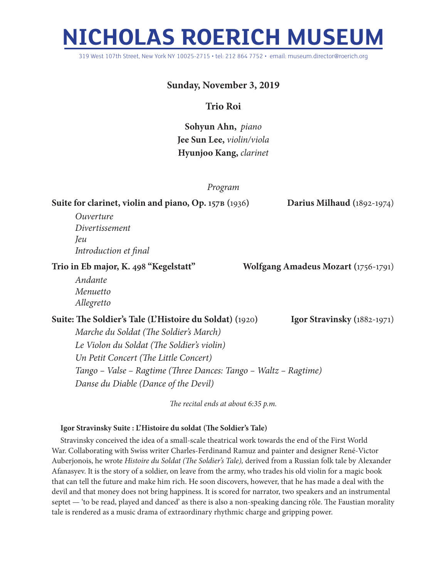# **NICHOLAS ROERICH MUSEUM**

319 West 107th Street, New York NY 10025-2715 • tel: 212 864 7752 • email: museum.director@roerich.org

# **Sunday, November 3, 2019**

## **Trio Roi**

**Sohyun Ahn,** *piano* **Jee Sun Lee,** *violin/viola* **Hyunjoo Kang,** *clarinet*

### *Program*

**Suite for clarinet, violin and piano, Op. 157b (**1936**) Darius Milhaud (**1892-1974)

*Ouverture Divertissement Jeu Introduction et final*

**Trio in Eb major, K. 498 "Kegelstatt" Wolfgang Amadeus Mozart (**1756-1791)

*Andante Menuetto Allegretto*

**Suite: The Soldier's Tale (L'Histoire du Soldat) (**1920**) Igor Stravinsky (**1882-1971) *Marche du Soldat (The Soldier's March)*

*Le Violon du Soldat (The Soldier's violin) Un Petit Concert (The Little Concert) Tango – Valse – Ragtime (Three Dances: Tango – Waltz – Ragtime) Danse du Diable (Dance of the Devil)*

*The recital ends at about 6:35 p.m.*

#### **Igor Stravinsky Suite : L'Histoire du soldat (The Soldier's Tale)**

Stravinsky conceived the idea of a small-scale theatrical work towards the end of the First World War. Collaborating with Swiss writer Charles-Ferdinand Ramuz and painter and designer René-Victor Auberjonois, he wrote *Histoire du Soldat (The Soldier's Tale),* derived from a Russian folk tale by Alexander Afanasyev. It is the story of a soldier, on leave from the army, who trades his old violin for a magic book that can tell the future and make him rich. He soon discovers, however, that he has made a deal with the devil and that money does not bring happiness. It is scored for narrator, two speakers and an instrumental septet — 'to be read, played and danced' as there is also a non-speaking dancing rôle. The Faustian morality tale is rendered as a music drama of extraordinary rhythmic charge and gripping power.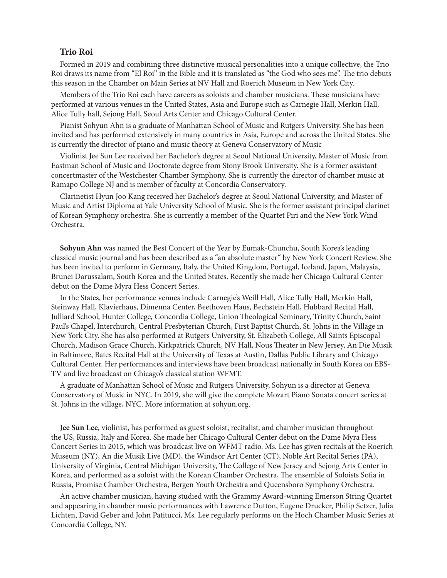#### **Trio Roi**

Formed in 2019 and combining three distinctive musical personalities into a unique collective, the Trio Roi draws its name from "El Roi" in the Bible and it is translated as "the God who sees me". The trio debuts this season in the Chamber on Main Series at NV Hall and Roerich Museum in New York City.

Members of the Trio Roi each have careers as soloists and chamber musicians. These musicians have performed at various venues in the United States, Asia and Europe such as Carnegie Hall, Merkin Hall, Alice Tully hall, Sejong Hall, Seoul Arts Center and Chicago Cultural Center.

Pianist Sohyun Ahn is a graduate of Manhattan School of Music and Rutgers University. She has been invited and has performed extensively in many countries in Asia, Europe and across the United States. She is currently the director of piano and music theory at Geneva Conservatory of Music

Violinist Jee Sun Lee received her Bachelor's degree at Seoul National University, Master of Music from Eastman School of Music and Doctorate degree from Stony Brook University. She is a former assistant concertmaster of the Westchester Chamber Symphony. She is currently the director of chamber music at Ramapo College NJ and is member of faculty at Concordia Conservatory.

Clarinetist Hyun Joo Kang received her Bachelor's degree at Seoul National University, and Master of Music and Artist Diploma at Yale University School of Music. She is the former assistant principal clarinet of Korean Symphony orchestra. She is currently a member of the Quartet Piri and the New York Wind Orchestra.

**Sohyun Ahn** was named the Best Concert of the Year by Eumak-Chunchu, South Korea's leading classical music journal and has been described as a "an absolute master" by New York Concert Review. She has been invited to perform in Germany, Italy, the United Kingdom, Portugal, Iceland, Japan, Malaysia, Brunei Darussalam, South Korea and the United States. Recently she made her Chicago Cultural Center debut on the Dame Myra Hess Concert Series.

In the States, her performance venues include Carnegie's Weill Hall, Alice Tully Hall, Merkin Hall, Steinway Hall, Klavierhaus, Dimenna Center, Beethoven Haus, Bechstein Hall, Hubbard Recital Hall, Julliard School, Hunter College, Concordia College, Union Theological Seminary, Trinity Church, Saint Paul's Chapel, Interchurch, Central Presbyterian Church, First Baptist Church, St. Johns in the Village in New York City. She has also performed at Rutgers University, St. Elizabeth College, All Saints Episcopal Church, Madison Grace Church, Kirkpatrick Church, NV Hall, Nous Theater in New Jersey, An Die Musik in Baltimore, Bates Recital Hall at the University of Texas at Austin, Dallas Public Library and Chicago Cultural Center. Her performances and interviews have been broadcast nationally in South Korea on EBS-TV and live broadcast on Chicago's classical station WFMT.

A graduate of Manhattan School of Music and Rutgers University, Sohyun is a director at Geneva Conservatory of Music in NYC. In 2019, she will give the complete Mozart Piano Sonata concert series at St. Johns in the village, NYC. More information at sohyun.org.

**Jee Sun Lee**, violinist, has performed as guest soloist, recitalist, and chamber musician throughout the US, Russia, Italy and Korea. She made her Chicago Cultural Center debut on the Dame Myra Hess Concert Series in 2015, which was broadcast live on WFMT radio. Ms. Lee has given recitals at the Roerich Museum (NY), An die Musik Live (MD), the Windsor Art Center (CT), Noble Art Recital Series (PA), University of Virginia, Central Michigan University, The College of New Jersey and Sejong Arts Center in Korea, and performed as a soloist with the Korean Chamber Orchestra, The ensemble of Soloists Sofia in Russia, Promise Chamber Orchestra, Bergen Youth Orchestra and Queensboro Symphony Orchestra.

An active chamber musician, having studied with the Grammy Award-winning Emerson String Quartet and appearing in chamber music performances with Lawrence Dutton, Eugene Drucker, Philip Setzer, Julia Lichten, David Geber and John Patitucci, Ms. Lee regularly performs on the Hoch Chamber Music Series at Concordia College, NY.